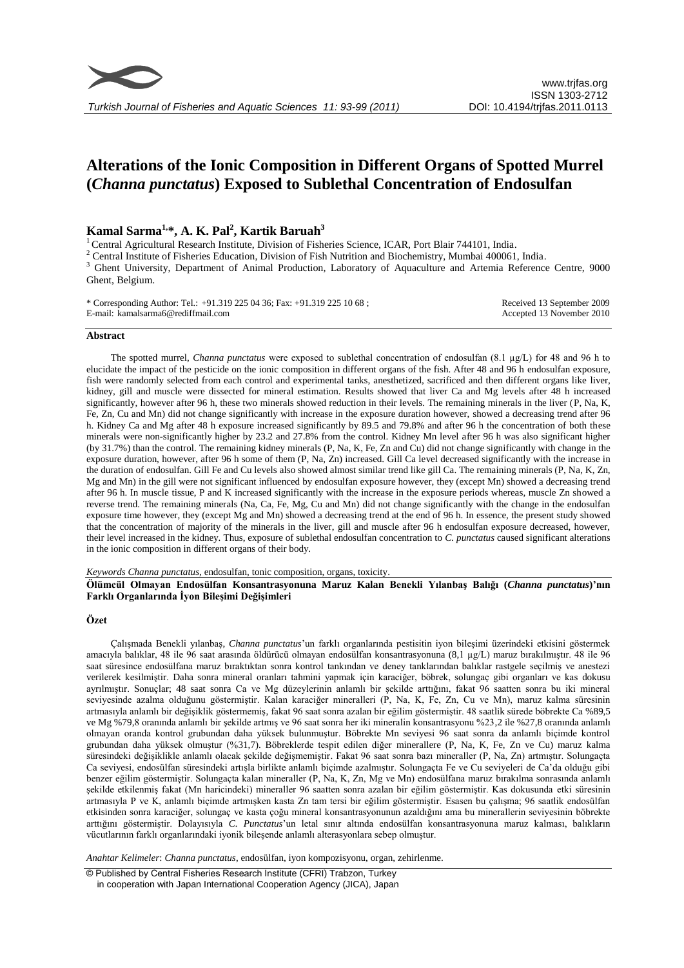

# **Alterations of the Ionic Composition in Different Organs of Spotted Murrel (***Channa punctatus***) Exposed to Sublethal Concentration of Endosulfan**

## **Kamal Sarma1,\*, A. K. Pal<sup>2</sup> , Kartik Baruah<sup>3</sup>**

<sup>1</sup> Central Agricultural Research Institute, Division of Fisheries Science, ICAR, Port Blair 744101, India.

<sup>2</sup> Central Institute of Fisheries Education, Division of Fish Nutrition and Biochemistry, Mumbai 400061, India.

<sup>3</sup> Ghent University, Department of Animal Production, Laboratory of Aquaculture and Artemia Reference Centre, 9000 Ghent, Belgium.

| * Corresponding Author: Tel.: +91.319 225 04 36; Fax: +91.319 225 10 68 ; | Received 13 September 2009 |
|---------------------------------------------------------------------------|----------------------------|
| E-mail: kamalsarma6@rediffmail.com                                        | Accepted 13 November 2010  |

### **Abstract**

The spotted murrel, *Channa punctatus* were exposed to sublethal concentration of endosulfan (8.1 µg/L) for 48 and 96 h to elucidate the impact of the pesticide on the ionic composition in different organs of the fish. After 48 and 96 h endosulfan exposure, fish were randomly selected from each control and experimental tanks, anesthetized, sacrificed and then different organs like liver, kidney, gill and muscle were dissected for mineral estimation. Results showed that liver Ca and Mg levels after 48 h increased significantly, however after 96 h, these two minerals showed reduction in their levels. The remaining minerals in the liver (P, Na, K, Fe, Zn, Cu and Mn) did not change significantly with increase in the exposure duration however, showed a decreasing trend after 96 h. Kidney Ca and Mg after 48 h exposure increased significantly by 89.5 and 79.8% and after 96 h the concentration of both these minerals were non-significantly higher by 23.2 and 27.8% from the control. Kidney Mn level after 96 h was also significant higher (by 31.7%) than the control. The remaining kidney minerals (P, Na, K, Fe, Zn and Cu) did not change significantly with change in the exposure duration, however, after 96 h some of them (P, Na, Zn) increased. Gill Ca level decreased significantly with the increase in the duration of endosulfan. Gill Fe and Cu levels also showed almost similar trend like gill Ca. The remaining minerals (P, Na, K, Zn, Mg and Mn) in the gill were not significant influenced by endosulfan exposure however, they (except Mn) showed a decreasing trend after 96 h. In muscle tissue, P and K increased significantly with the increase in the exposure periods whereas, muscle Zn showed a reverse trend. The remaining minerals (Na, Ca, Fe, Mg, Cu and Mn) did not change significantly with the change in the endosulfan exposure time however, they (except Mg and Mn) showed a decreasing trend at the end of 96 h. In essence, the present study showed that the concentration of majority of the minerals in the liver, gill and muscle after 96 h endosulfan exposure decreased, however, their level increased in the kidney. Thus, exposure of sublethal endosulfan concentration to *C. punctatus* caused significant alterations in the ionic composition in different organs of their body.

*Keywords Channa punctatus*, endosulfan, tonic composition, organs, toxicity.

**Ölümcül Olmayan Endosülfan Konsantrasyonuna Maruz Kalan Benekli Yılanbaş Balığı (***Channa punctatus***)'nın Farklı Organlarında İyon Bileşimi Değişimleri**

#### **Özet**

Çalışmada Benekli yılanbaş, *Channa punctatus*'un farklı organlarında pestisitin iyon bileşimi üzerindeki etkisini göstermek amacıyla balıklar, 48 ile 96 saat arasında öldürücü olmayan endosülfan konsantrasyonuna (8,1 µg/L) maruz bırakılmıştır. 48 ile 96 saat süresince endosülfana maruz bıraktıktan sonra kontrol tankından ve deney tanklarından balıklar rastgele seçilmiş ve anestezi verilerek kesilmiştir. Daha sonra mineral oranları tahmini yapmak için karaciğer, böbrek, solungaç gibi organları ve kas dokusu ayrılmıştır. Sonuçlar; 48 saat sonra Ca ve Mg düzeylerinin anlamlı bir şekilde arttığını, fakat 96 saatten sonra bu iki mineral seviyesinde azalma olduğunu göstermiştir. Kalan karaciğer mineralleri (P, Na, K, Fe, Zn, Cu ve Mn), maruz kalma süresinin artmasıyla anlamlı bir değişiklik göstermemiş, fakat 96 saat sonra azalan bir eğilim göstermiştir. 48 saatlik sürede böbrekte Ca %89,5 ve Mg %79,8 oranında anlamlı bir şekilde artmış ve 96 saat sonra her iki mineralin konsantrasyonu %23,2 ile %27,8 oranında anlamlı olmayan oranda kontrol grubundan daha yüksek bulunmuştur. Böbrekte Mn seviyesi 96 saat sonra da anlamlı biçimde kontrol grubundan daha yüksek olmuştur (%31,7). Böbreklerde tespit edilen diğer minerallere (P, Na, K, Fe, Zn ve Cu) maruz kalma süresindeki değişiklikle anlamlı olacak şekilde değişmemiştir. Fakat 96 saat sonra bazı mineraller (P, Na, Zn) artmıştır. Solungaçta Ca seviyesi, endosülfan süresindeki artışla birlikte anlamlı biçimde azalmıştır. Solungaçta Fe ve Cu seviyeleri de Ca'da olduğu gibi benzer eğilim göstermiştir. Solungaçta kalan mineraller (P, Na, K, Zn, Mg ve Mn) endosülfana maruz bırakılma sonrasında anlamlı şekilde etkilenmiş fakat (Mn haricindeki) mineraller 96 saatten sonra azalan bir eğilim göstermiştir. Kas dokusunda etki süresinin artmasıyla P ve K, anlamlı biçimde artmışken kasta Zn tam tersi bir eğilim göstermiştir. Esasen bu çalışma; 96 saatlik endosülfan etkisinden sonra karaciğer, solungaç ve kasta çoğu mineral konsantrasyonunun azaldığını ama bu minerallerin seviyesinin böbrekte arttığını göstermiştir. Dolayısıyla *C. Punctatus*'un letal sınır altında endosülfan konsantrasyonuna maruz kalması, balıkların vücutlarının farklı organlarındaki iyonik bileşende anlamlı alterasyonlara sebep olmuştur.

*Anahtar Kelimeler*: *Channa punctatus*, endosülfan, iyon kompozisyonu, organ, zehirlenme.

© Published by Central Fisheries Research Institute (CFRI) Trabzon, Turkey in cooperation with Japan International Cooperation Agency (JICA), Japan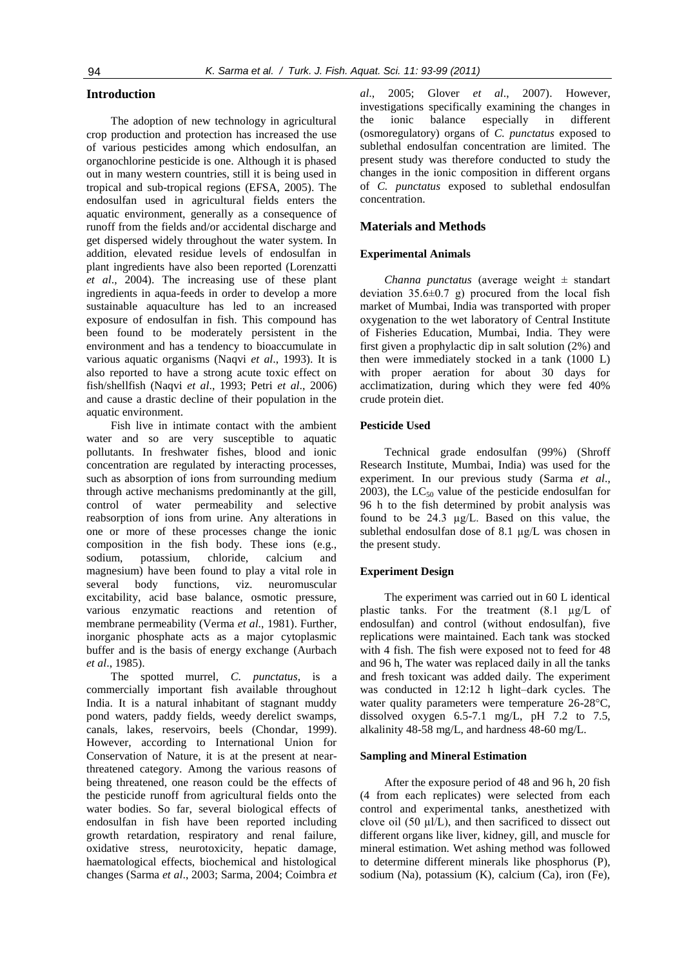## **Introduction**

The adoption of new technology in agricultural crop production and protection has increased the use of various pesticides among which endosulfan, an organochlorine pesticide is one. Although it is phased out in many western countries, still it is being used in tropical and sub-tropical regions (EFSA, 2005). The endosulfan used in agricultural fields enters the aquatic environment, generally as a consequence of runoff from the fields and/or accidental discharge and get dispersed widely throughout the water system. In addition, elevated residue levels of endosulfan in plant ingredients have also been reported (Lorenzatti *et al*., 2004). The increasing use of these plant ingredients in aqua-feeds in order to develop a more sustainable aquaculture has led to an increased exposure of endosulfan in fish. This compound has been found to be moderately persistent in the environment and has a tendency to bioaccumulate in various aquatic organisms (Naqvi *et al*., 1993). It is also reported to have a strong acute toxic effect on fish/shellfish (Naqvi *et al*., 1993; Petri *et al*., 2006) and cause a drastic decline of their population in the aquatic environment.

Fish live in intimate contact with the ambient water and so are very susceptible to aquatic pollutants. In freshwater fishes, blood and ionic concentration are regulated by interacting processes, such as absorption of ions from surrounding medium through active mechanisms predominantly at the gill, control of water permeability and selective reabsorption of ions from urine. Any alterations in one or more of these processes change the ionic composition in the fish body. These ions (e.g., sodium, potassium, chloride, calcium magnesium) have been found to play a vital role in several body functions, viz. neuromuscular excitability, acid base balance, osmotic pressure, various enzymatic reactions and retention of membrane permeability (Verma *et al*., 1981). Further, inorganic phosphate acts as a major cytoplasmic buffer and is the basis of energy exchange (Aurbach *et al*., 1985).

The spotted murrel, *C. punctatus*, is a commercially important fish available throughout India. It is a natural inhabitant of stagnant muddy pond waters, paddy fields, weedy derelict swamps, canals, lakes, reservoirs, beels (Chondar, 1999). However, according to International Union for Conservation of Nature, it is at the present at nearthreatened category. Among the various reasons of being threatened, one reason could be the effects of the pesticide runoff from agricultural fields onto the water bodies. So far, several biological effects of endosulfan in fish have been reported including growth retardation, respiratory and renal failure, oxidative stress, neurotoxicity, hepatic damage, haematological effects, biochemical and histological changes (Sarma *et al*., 2003; Sarma, 2004; Coimbra *et*  *al*., 2005; Glover *et al*., 2007). However, investigations specifically examining the changes in the ionic balance especially in different (osmoregulatory) organs of *C. punctatus* exposed to sublethal endosulfan concentration are limited. The present study was therefore conducted to study the changes in the ionic composition in different organs of *C. punctatus* exposed to sublethal endosulfan concentration.

## **Materials and Methods**

#### **Experimental Animals**

*Channa punctatus* (average weight ± standart deviation  $35.6\pm0.7$  g) procured from the local fish market of Mumbai, India was transported with proper oxygenation to the wet laboratory of Central Institute of Fisheries Education, Mumbai, India. They were first given a prophylactic dip in salt solution (2%) and then were immediately stocked in a tank (1000 L) with proper aeration for about 30 days for acclimatization, during which they were fed 40% crude protein diet.

#### **Pesticide Used**

Technical grade endosulfan (99%) (Shroff Research Institute, Mumbai, India) was used for the experiment. In our previous study (Sarma *et al*., 2003), the  $LC_{50}$  value of the pesticide endosulfan for 96 h to the fish determined by probit analysis was found to be 24.3 µg/L. Based on this value, the sublethal endosulfan dose of 8.1 µg/L was chosen in the present study.

#### **Experiment Design**

The experiment was carried out in 60 L identical plastic tanks. For the treatment (8.1 µg/L of endosulfan) and control (without endosulfan), five replications were maintained. Each tank was stocked with 4 fish. The fish were exposed not to feed for 48 and 96 h, The water was replaced daily in all the tanks and fresh toxicant was added daily. The experiment was conducted in 12:12 h light–dark cycles. The water quality parameters were temperature 26-28°C, dissolved oxygen 6.5-7.1 mg/L, pH 7.2 to 7.5, alkalinity 48-58 mg/L, and hardness 48-60 mg/L.

#### **Sampling and Mineral Estimation**

After the exposure period of 48 and 96 h, 20 fish (4 from each replicates) were selected from each control and experimental tanks, anesthetized with clove oil  $(50 \mu l/L)$ , and then sacrificed to dissect out different organs like liver, kidney, gill, and muscle for mineral estimation. Wet ashing method was followed to determine different minerals like phosphorus (P), sodium (Na), potassium (K), calcium (Ca), iron (Fe),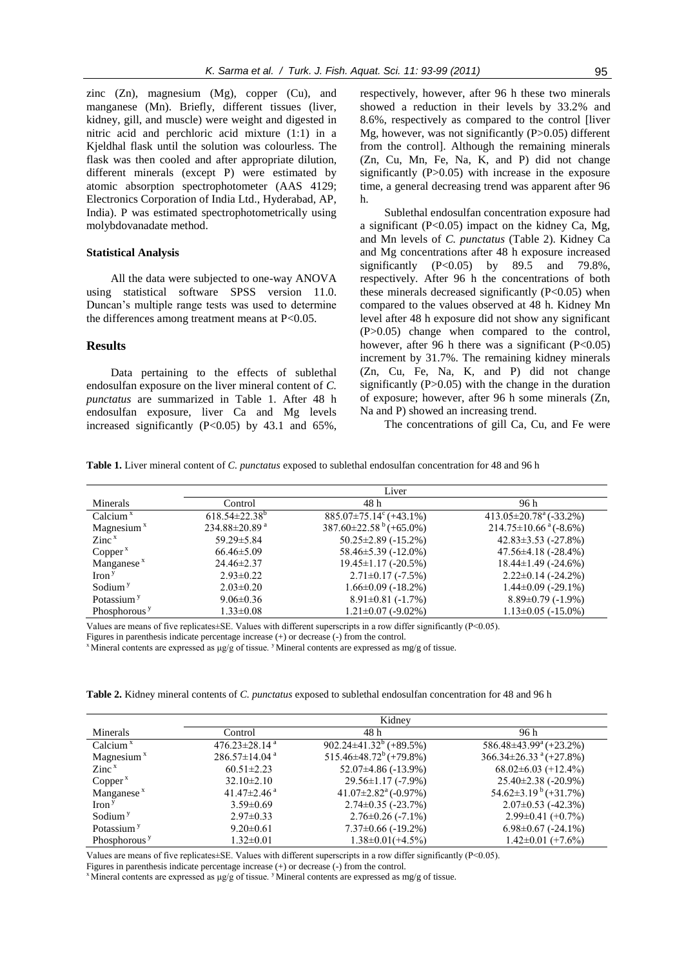zinc (Zn), magnesium (Mg), copper (Cu), and manganese (Mn). Briefly, different tissues (liver, kidney, gill, and muscle) were weight and digested in nitric acid and perchloric acid mixture (1:1) in a Kjeldhal flask until the solution was colourless. The flask was then cooled and after appropriate dilution, different minerals (except P) were estimated by atomic absorption spectrophotometer (AAS 4129; Electronics Corporation of India Ltd., Hyderabad, AP, India). P was estimated spectrophotometrically using molybdovanadate method.

#### **Statistical Analysis**

All the data were subjected to one-way ANOVA using statistical software SPSS version 11.0. Duncan's multiple range tests was used to determine the differences among treatment means at  $P<0.05$ .

## **Results**

Data pertaining to the effects of sublethal endosulfan exposure on the liver mineral content of *C. punctatus* are summarized in Table 1. After 48 h endosulfan exposure, liver Ca and Mg levels increased significantly  $(P<0.05)$  by 43.1 and 65%,

respectively, however, after 96 h these two minerals showed a reduction in their levels by 33.2% and 8.6%, respectively as compared to the control [liver Mg, however, was not significantly  $(P>0.05)$  different from the control]. Although the remaining minerals (Zn, Cu, Mn, Fe, Na, K, and P) did not change significantly (P>0.05) with increase in the exposure time, a general decreasing trend was apparent after 96 h.

Sublethal endosulfan concentration exposure had a significant  $(P<0.05)$  impact on the kidney Ca, Mg, and Mn levels of *C. punctatus* (Table 2). Kidney Ca and Mg concentrations after 48 h exposure increased significantly  $(P<0.05)$  by 89.5 and 79.8%, respectively. After 96 h the concentrations of both these minerals decreased significantly  $(P<0.05)$  when compared to the values observed at 48 h. Kidney Mn level after 48 h exposure did not show any significant (P>0.05) change when compared to the control, however, after 96 h there was a significant  $(P<0.05)$ increment by 31.7%. The remaining kidney minerals (Zn, Cu, Fe, Na, K, and P) did not change significantly  $(P>0.05)$  with the change in the duration of exposure; however, after 96 h some minerals (Zn, Na and P) showed an increasing trend.

The concentrations of gill Ca, Cu, and Fe were

**Table 1.** Liver mineral content of *C. punctatus* exposed to sublethal endosulfan concentration for 48 and 96 h

|                                    |                               | Liver                                     |                                          |
|------------------------------------|-------------------------------|-------------------------------------------|------------------------------------------|
| Minerals                           | Control                       | 48 h                                      | 96 h                                     |
| Calcium $x$                        | $618.54 \pm 22.38^{\circ}$    | $885.07 \pm 75.14^{\circ}$ (+43.1%)       | $413.05 \pm 20.78$ <sup>a</sup> (-33.2%) |
| Magnesium $x$                      | 234.88 $\pm$ 20.89 $^{\rm a}$ | $387.60 \pm 22.58^{\mathrm{b}} (+65.0\%)$ | $214.75 \pm 10.66$ <sup>a</sup> (-8.6%)  |
| $\mathsf{Zinc}^{\mathsf{x}}$       | 59.29 ± 5.84                  | $50.25 \pm 2.89$ (-15.2%)                 | $42.83 \pm 3.53$ (-27.8%)                |
| Copper <sup>x</sup>                | $66.46 \pm 5.09$              | $58.46 \pm 5.39$ (-12.0%)                 | $47.56 \pm 4.18$ (-28.4%)                |
| Manganese <sup>x</sup>             | $24.46 \pm 2.37$              | $19.45 \pm 1.17$ (-20.5%)                 | 18.44±1.49 (-24.6%)                      |
| $\operatorname{Iron}$ <sup>y</sup> | $2.93 \pm 0.22$               | $2.71 \pm 0.17$ (-7.5%)                   | $2.22 \pm 0.14$ (-24.2%)                 |
| Sodium <sup>y</sup>                | $2.03 \pm 0.20$               | $1.66 \pm 0.09$ (-18.2%)                  | $1.44\pm0.09$ (-29.1%)                   |
| Potassium <sup>y</sup>             | $9.06 \pm 0.36$               | $8.91 \pm 0.81$ (-1.7%)                   | $8.89\pm0.79$ (-1.9%)                    |
| Phosphorous <sup>y</sup>           | $1.33 \pm 0.08$               | $1.21 \pm 0.07$ (-9.02%)                  | $1.13\pm0.05$ (-15.0%)                   |

Values are means of five replicates $\pm$ SE. Values with different superscripts in a row differ significantly (P<0.05).

Figures in parenthesis indicate percentage increase (+) or decrease (-) from the control.

<sup>x</sup> Mineral contents are expressed as μg/g of tissue. <sup>y</sup> Mineral contents are expressed as mg/g of tissue.

**Table 2.** Kidney mineral contents of *C. punctatus* exposed to sublethal endosulfan concentration for 48 and 96 h

|                                     |                                 | Kidney                             |                                     |
|-------------------------------------|---------------------------------|------------------------------------|-------------------------------------|
|                                     |                                 |                                    |                                     |
| Minerals                            | Control                         | 48 h                               | 96 h                                |
| Calcium $x$                         | 476.23 $\pm$ 28.14 <sup>a</sup> | $902.24 \pm 41.32^b$ (+89.5%)      | $586.48\pm43.99^{\circ}$ (+23.2%)   |
| Magnesium $x$                       | $286.57 \pm 14.04$ <sup>a</sup> | $515.46\pm48.72^b$ (+79.8%)        | $366.34 \pm 26.33$ $^{a} (+27.8\%)$ |
| $\mathsf{Zinc}^{\mathsf{x}}$        | $60.51 \pm 2.23$                | $52.07\pm4.86$ (-13.9%)            | $68.02\pm6.03$ (+12.4%)             |
| Copper <sup>x</sup>                 | $32.10 \pm 2.10$                | $29.56 \pm 1.17$ (-7.9%)           | $25.40\pm2.38$ (-20.9%)             |
| Manganese $x$                       | 41.47 $\pm$ 2.46 <sup>a</sup>   | $41.07\pm2.82^{\text{a}}$ (-0.97%) | $54.62\pm3.19^{b} (+31.7\%)$        |
| $\operatorname{Iron}^{\mathcal{Y}}$ | $3.59 \pm 0.69$                 | $2.74\pm0.35$ (-23.7%)             | $2.07\pm0.53$ (-42.3%)              |
| Sodium <sup>y</sup>                 | $2.97\pm0.33$                   | $2.76 \pm 0.26$ (-7.1%)            | $2.99\pm0.41(+0.7\%)$               |
| Potassium <sup>y</sup>              | $9.20 \pm 0.61$                 | $7.37\pm0.66$ (-19.2%)             | $6.98 \pm 0.67$ (-24.1%)            |
| Phosphorous <sup>y</sup>            | $1.32 \pm 0.01$                 | $1.38 \pm 0.01 (+4.5\%)$           | $1.42 \pm 0.01 (+7.6\%)$            |

Values are means of five replicates±SE. Values with different superscripts in a row differ significantly (P<0.05).

Figures in parenthesis indicate percentage increase (+) or decrease (-) from the control.

<sup>x</sup> Mineral contents are expressed as  $\mu$ g/g of tissue. <sup>y</sup> Mineral contents are expressed as mg/g of tissue.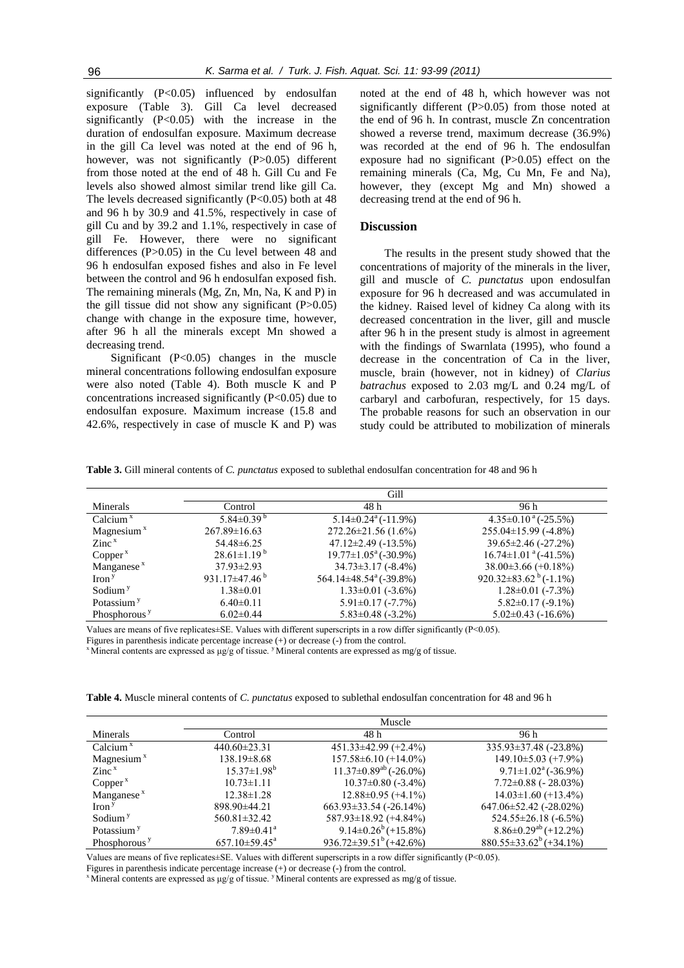significantly  $(P<0.05)$  influenced by endosulfan exposure (Table 3). Gill Ca level decreased significantly (P<0.05) with the increase in the duration of endosulfan exposure. Maximum decrease in the gill Ca level was noted at the end of 96 h, however, was not significantly (P>0.05) different from those noted at the end of 48 h. Gill Cu and Fe levels also showed almost similar trend like gill Ca. The levels decreased significantly  $(P<0.05)$  both at 48 and 96 h by 30.9 and 41.5%, respectively in case of gill Cu and by 39.2 and 1.1%, respectively in case of gill Fe. However, there were no significant differences (P>0.05) in the Cu level between 48 and 96 h endosulfan exposed fishes and also in Fe level between the control and 96 h endosulfan exposed fish. The remaining minerals (Mg, Zn, Mn, Na, K and P) in the gill tissue did not show any significant  $(P>0.05)$ change with change in the exposure time, however, after 96 h all the minerals except Mn showed a decreasing trend.

Significant (P<0.05) changes in the muscle mineral concentrations following endosulfan exposure were also noted (Table 4). Both muscle K and P concentrations increased significantly (P<0.05) due to endosulfan exposure. Maximum increase (15.8 and 42.6%, respectively in case of muscle K and P) was noted at the end of 48 h, which however was not significantly different (P>0.05) from those noted at the end of 96 h. In contrast, muscle Zn concentration showed a reverse trend, maximum decrease (36.9%) was recorded at the end of 96 h. The endosulfan exposure had no significant  $(P>0.05)$  effect on the remaining minerals (Ca, Mg, Cu Mn, Fe and Na), however, they (except Mg and Mn) showed a decreasing trend at the end of 96 h.

## **Discussion**

The results in the present study showed that the concentrations of majority of the minerals in the liver, gill and muscle of *C. punctatus* upon endosulfan exposure for 96 h decreased and was accumulated in the kidney. Raised level of kidney Ca along with its decreased concentration in the liver, gill and muscle after 96 h in the present study is almost in agreement with the findings of Swarnlata (1995), who found a decrease in the concentration of Ca in the liver, muscle, brain (however, not in kidney) of *Clarius batrachus* exposed to 2.03 mg/L and 0.24 mg/L of carbaryl and carbofuran, respectively, for 15 days. The probable reasons for such an observation in our study could be attributed to mobilization of minerals

**Table 3.** Gill mineral contents of *C. punctatus* exposed to sublethal endosulfan concentration for 48 and 96 h

|                                    | Gill                            |                                       |                                         |
|------------------------------------|---------------------------------|---------------------------------------|-----------------------------------------|
| Minerals                           | Control                         | 48 h                                  | 96 h                                    |
| Calcium $x$                        | 5.84 $\pm$ 0.39 $\overline{9}$  | $5.14 \pm 0.24$ <sup>a</sup> (-11.9%) | $4.35\pm0.10^{a}$ (-25.5%)              |
| Magnesium $x$                      | $267.89 \pm 16.63$              | $272.26 \pm 21.56(1.6\%)$             | $255.04 \pm 15.99$ (-4.8%)              |
| $\mathsf{Zinc}^{\mathsf{x}}$       | 54.48 ± 6.25                    | $47.12 \pm 2.49$ (-13.5%)             | $39.65 \pm 2.46$ (-27.2%)               |
| Copper <sup>x</sup>                | $28.61 \pm 1.19^{b}$            | $19.77 \pm 1.05^{\text{a}}$ (-30.9%)  | $16.74 \pm 1.01$ <sup>a</sup> (-41.5%)  |
| Manganese $x$                      | $37.93 \pm 2.93$                | $34.73 \pm 3.17$ (-8.4%)              | $38.00\pm3.66(+0.18\%)$                 |
| $\operatorname{Iron}$ <sup>y</sup> | 931.17 $\pm$ 47.46 <sup>b</sup> | 564.14±48.54 <sup>a</sup> (-39.8%)    | 920.32 $\pm$ 83.62 <sup>b</sup> (-1.1%) |
| Sodium <sup>y</sup>                | $1.38 \pm 0.01$                 | $1.33 \pm 0.01$ (-3.6%)               | $1.28 \pm 0.01$ (-7.3%)                 |
| Potassium <sup>y</sup>             | $6.40\pm0.11$                   | $5.91 \pm 0.17$ (-7.7%)               | $5.82 \pm 0.17$ (-9.1%)                 |
| Phosphorous <sup>y</sup>           | $6.02 \pm 0.44$                 | $5.83 \pm 0.48$ (-3.2%)               | $5.02 \pm 0.43$ ( $-16.6\%$ )           |

Values are means of five replicates $\pm$ SE. Values with different superscripts in a row differ significantly (P<0.05).

Figures in parenthesis indicate percentage increase (+) or decrease (-) from the control.

<sup>x</sup> Mineral contents are expressed as  $\mu$ g/g of tissue. <sup>y</sup> Mineral contents are expressed as mg/g of tissue.

**Table 4.** Muscle mineral contents of *C. punctatus* exposed to sublethal endosulfan concentration for 48 and 96 h

|                                    |                              | Muscle                       |                                  |
|------------------------------------|------------------------------|------------------------------|----------------------------------|
| Minerals                           | Control                      | 48 h                         | 96 h                             |
| Calcium $x$                        | $440.60 \pm 23.31$           | $451.33 \pm 42.99 (+2.4\%)$  | 335.93±37.48 (-23.8%)            |
| Magnesium $x$                      | $138.19 \pm 8.68$            | $157.58\pm 6.10 (+14.0\%)$   | $149.10\pm5.03$ (+7.9%)          |
| $\mathsf{Zinc}^{\mathsf{x}}$       | $15.37 \pm 1.98^b$           | $11.37\pm0.89^{ab}$ (-26.0%) | $9.71 \pm 1.02^{\circ}$ (-36.9%) |
| Copper <sup>x</sup>                | $10.73 \pm 1.11$             | $10.37\pm0.80$ (-3.4%)       | $7.72 \pm 0.88$ ( $-28.03\%$ )   |
| Manganese $x$                      | $12.38 \pm 1.28$             | $12.88 \pm 0.95 (+4.1\%)$    | $14.03 \pm 1.60 (+13.4\%)$       |
| $\operatorname{Iron}$ <sup>y</sup> | 898.90±44.21                 | $663.93 \pm 33.54$ (-26.14%) | $647.06 \pm 52.42$ (-28.02%)     |
| Sodium <sup>y</sup>                | $560.81 \pm 32.42$           | $587.93 \pm 18.92 (+4.84\%)$ | $524.55 \pm 26.18$ (-6.5%)       |
| Potassium <sup>y</sup>             | $7.89 \pm 0.41$ <sup>a</sup> | $9.14\pm0.26^b (+15.8\%)$    | $8.86\pm0.29^{ab}$ (+12.2%)      |
| Phosphorous <sup>y</sup>           | $657.10\pm59.45^{\circ}$     | $936.72\pm39.51^b (+42.6\%)$ | $880.55\pm33.62^b (+34.1\%)$     |

Values are means of five replicates±SE. Values with different superscripts in a row differ significantly (P<0.05).

Figures in parenthesis indicate percentage increase  $(+)$  or decrease  $(-)$  from the control.

<sup>x</sup> Mineral contents are expressed as  $\mu$ g/g of tissue. <sup>y</sup> Mineral contents are expressed as mg/g of tissue.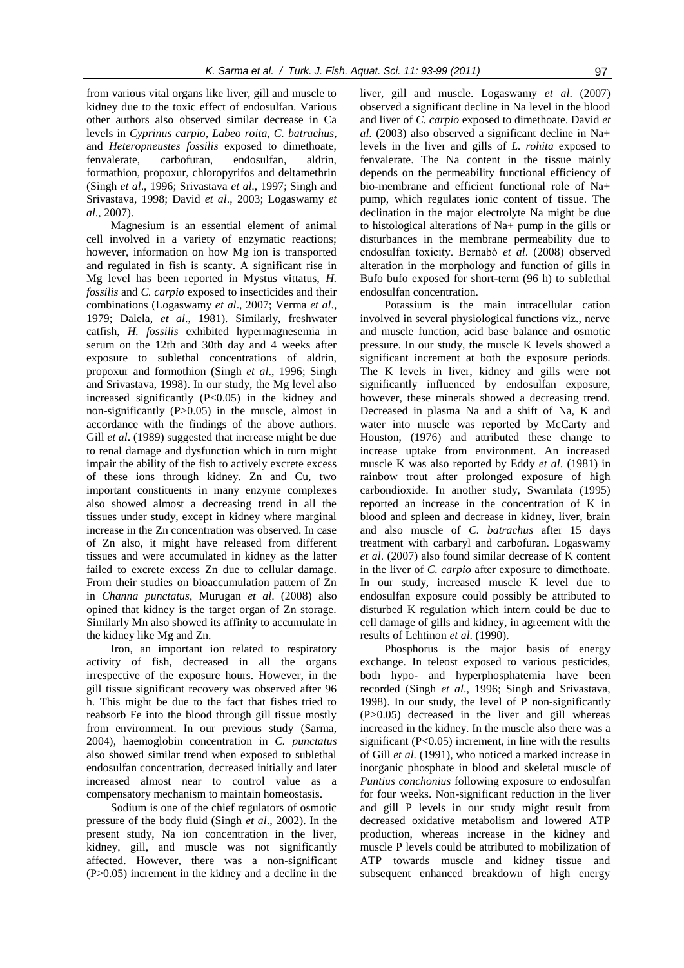from various vital organs like liver, gill and muscle to kidney due to the toxic effect of endosulfan. Various other authors also observed similar decrease in Ca levels in *Cyprinus carpio*, *Labeo roita*, *C. batrachus*, and *Heteropneustes fossilis* exposed to dimethoate, fenvalerate, carbofuran, endosulfan, aldrin, formathion, propoxur, chloropyrifos and deltamethrin (Singh *et al*., 1996; Srivastava *et al*., 1997; Singh and Srivastava, 1998; David *et al*., 2003; Logaswamy *et al*., 2007).

Magnesium is an essential element of animal cell involved in a variety of enzymatic reactions; however, information on how Mg ion is transported and regulated in fish is scanty. A significant rise in Mg level has been reported in Mystus vittatus, *H. fossilis* and *C. carpio* exposed to insecticides and their combinations (Logaswamy *et al*., 2007; Verma *et al*., 1979; Dalela, *et al*., 1981). Similarly, freshwater catfish, *H. fossilis* exhibited hypermagnesemia in serum on the 12th and 30th day and 4 weeks after exposure to sublethal concentrations of aldrin, propoxur and formothion (Singh *et al*., 1996; Singh and Srivastava, 1998). In our study, the Mg level also increased significantly  $(P<0.05)$  in the kidney and non-significantly (P>0.05) in the muscle, almost in accordance with the findings of the above authors. Gill *et al.* (1989) suggested that increase might be due to renal damage and dysfunction which in turn might impair the ability of the fish to actively excrete excess of these ions through kidney. Zn and Cu, two important constituents in many enzyme complexes also showed almost a decreasing trend in all the tissues under study, except in kidney where marginal increase in the Zn concentration was observed. In case of Zn also, it might have released from different tissues and were accumulated in kidney as the latter failed to excrete excess Zn due to cellular damage. From their studies on bioaccumulation pattern of Zn in *Channa punctatus*, Murugan *et al*. (2008) also opined that kidney is the target organ of Zn storage. Similarly Mn also showed its affinity to accumulate in the kidney like Mg and Zn.

Iron, an important ion related to respiratory activity of fish, decreased in all the organs irrespective of the exposure hours. However, in the gill tissue significant recovery was observed after 96 h. This might be due to the fact that fishes tried to reabsorb Fe into the blood through gill tissue mostly from environment. In our previous study (Sarma, 2004), haemoglobin concentration in *C. punctatus* also showed similar trend when exposed to sublethal endosulfan concentration, decreased initially and later increased almost near to control value as a compensatory mechanism to maintain homeostasis.

Sodium is one of the chief regulators of osmotic pressure of the body fluid (Singh *et al*., 2002). In the present study, Na ion concentration in the liver, kidney, gill, and muscle was not significantly affected. However, there was a non-significant (P>0.05) increment in the kidney and a decline in the

liver, gill and muscle. Logaswamy *et al*. (2007) observed a significant decline in Na level in the blood and liver of *C. carpio* exposed to dimethoate. David *et al*. (2003) also observed a significant decline in Na+ levels in the liver and gills of *L. rohita* exposed to fenvalerate. The Na content in the tissue mainly depends on the permeability functional efficiency of bio-membrane and efficient functional role of Na+ pump, which regulates ionic content of tissue. The declination in the major electrolyte Na might be due to histological alterations of Na+ pump in the gills or disturbances in the membrane permeability due to endosulfan toxicity. Bernabò *et al*. (2008) observed alteration in the morphology and function of gills in Bufo bufo exposed for short-term (96 h) to sublethal endosulfan concentration.

Potassium is the main intracellular cation involved in several physiological functions viz., nerve and muscle function, acid base balance and osmotic pressure. In our study, the muscle K levels showed a significant increment at both the exposure periods. The K levels in liver, kidney and gills were not significantly influenced by endosulfan exposure, however, these minerals showed a decreasing trend. Decreased in plasma Na and a shift of Na, K and water into muscle was reported by McCarty and Houston, (1976) and attributed these change to increase uptake from environment. An increased muscle K was also reported by Eddy *et al*. (1981) in rainbow trout after prolonged exposure of high carbondioxide. In another study, Swarnlata (1995) reported an increase in the concentration of K in blood and spleen and decrease in kidney, liver, brain and also muscle of *C. batrachus* after 15 days treatment with carbaryl and carbofuran. Logaswamy *et al*. (2007) also found similar decrease of K content in the liver of *C. carpio* after exposure to dimethoate. In our study, increased muscle K level due to endosulfan exposure could possibly be attributed to disturbed K regulation which intern could be due to cell damage of gills and kidney, in agreement with the results of Lehtinon *et al*. (1990).

Phosphorus is the major basis of energy exchange. In teleost exposed to various pesticides, both hypo- and hyperphosphatemia have been recorded (Singh *et al*., 1996; Singh and Srivastava, 1998). In our study, the level of P non-significantly (P>0.05) decreased in the liver and gill whereas increased in the kidney. In the muscle also there was a significant  $(P<0.05)$  increment, in line with the results of Gill *et al*. (1991), who noticed a marked increase in inorganic phosphate in blood and skeletal muscle of *Puntius conchonius* following exposure to endosulfan for four weeks. Non-significant reduction in the liver and gill P levels in our study might result from decreased oxidative metabolism and lowered ATP production, whereas increase in the kidney and muscle P levels could be attributed to mobilization of ATP towards muscle and kidney tissue and subsequent enhanced breakdown of high energy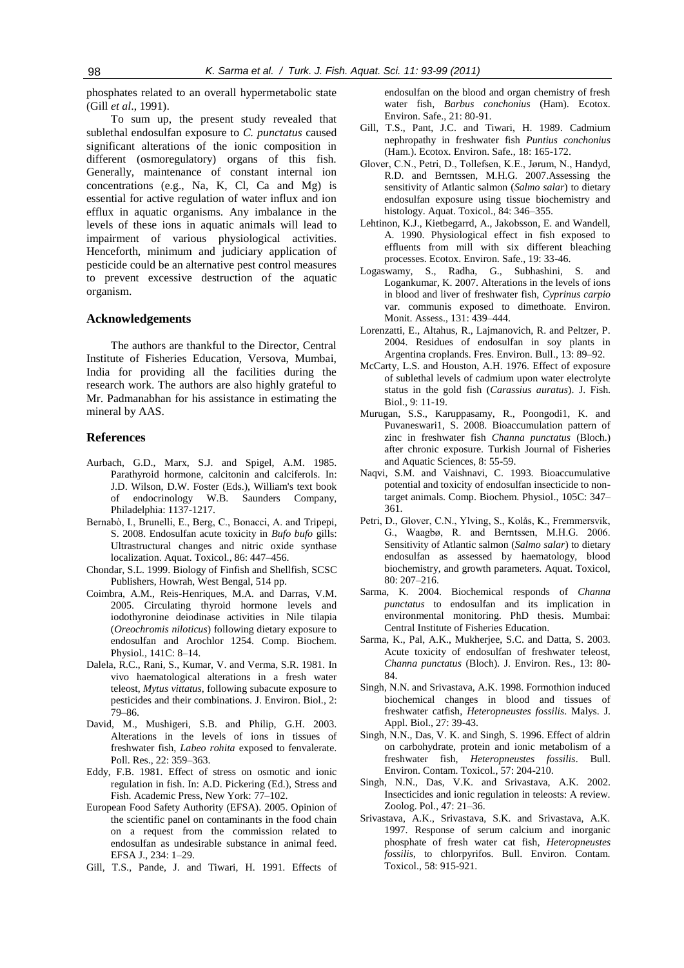phosphates related to an overall hypermetabolic state (Gill *et al*., 1991).

To sum up, the present study revealed that sublethal endosulfan exposure to *C. punctatus* caused significant alterations of the ionic composition in different (osmoregulatory) organs of this fish. Generally, maintenance of constant internal ion concentrations (e.g., Na, K, Cl, Ca and Mg) is essential for active regulation of water influx and ion efflux in aquatic organisms. Any imbalance in the levels of these ions in aquatic animals will lead to impairment of various physiological activities. Henceforth, minimum and judiciary application of pesticide could be an alternative pest control measures to prevent excessive destruction of the aquatic organism.

## **Acknowledgements**

The authors are thankful to the Director, Central Institute of Fisheries Education, Versova, Mumbai, India for providing all the facilities during the research work. The authors are also highly grateful to Mr. Padmanabhan for his assistance in estimating the mineral by AAS.

#### **References**

- Aurbach, G.D., Marx, S.J. and Spigel, A.M. 1985. Parathyroid hormone, calcitonin and calciferols. In: J.D. Wilson, D.W. Foster (Eds.), William's text book of endocrinology W.B. Saunders Company, Philadelphia: 1137-1217.
- Bernabò, I., Brunelli, E., Berg, C., Bonacci, A. and Tripepi, S. 2008. Endosulfan acute toxicity in *Bufo bufo* gills: Ultrastructural changes and nitric oxide synthase localization. Aquat. Toxicol., 86: 447–456.
- Chondar, S.L. 1999. Biology of Finfish and Shellfish*,* SCSC Publishers, Howrah, West Bengal, 514 pp.
- Coimbra, A.M., Reis-Henriques, M.A. and Darras, V.M. 2005. Circulating thyroid hormone levels and iodothyronine deiodinase activities in Nile tilapia (*Oreochromis niloticus*) following dietary exposure to endosulfan and Arochlor 1254. Comp. Biochem. Physiol., 141C: 8–14.
- Dalela, R.C., Rani, S., Kumar, V. and Verma, S.R. 1981. In vivo haematological alterations in a fresh water teleost, *Mytus vittatus*, following subacute exposure to pesticides and their combinations. J. Environ. Biol., 2: 79–86.
- David, M., Mushigeri, S.B. and Philip, G.H. 2003. Alterations in the levels of ions in tissues of freshwater fish, *Labeo rohita* exposed to fenvalerate. Poll. Res., 22: 359–363.
- Eddy, F.B. 1981. Effect of stress on osmotic and ionic regulation in fish. In: A.D. Pickering (Ed.), Stress and Fish. Academic Press, New York: 77–102.
- European Food Safety Authority (EFSA). 2005. Opinion of the scientific panel on contaminants in the food chain on a request from the commission related to endosulfan as undesirable substance in animal feed. EFSA J., 234: 1–29.
- Gill, T.S., Pande, J. and Tiwari, H. 1991. Effects of

endosulfan on the blood and organ chemistry of fresh water fish, *Barbus conchonius* (Ham). Ecotox. Environ. Safe., 21: 80-91.

- Gill, T.S., Pant, J.C. and Tiwari, H. 1989. Cadmium nephropathy in freshwater fish *Puntius conchonius* (Ham.). Ecotox. Environ. Safe., 18: 165-172.
- Glover, C.N., Petri, D., Tollefsen, K.E., Jørum, N., Handyd, R.D. and Berntssen, M.H.G. 2007.Assessing the sensitivity of Atlantic salmon (*Salmo salar*) to dietary endosulfan exposure using tissue biochemistry and histology. Aquat. Toxicol., 84: 346–355.
- Lehtinon, K.J., Kietbegarrd, A., Jakobsson, E. and Wandell, A. 1990. Physiological effect in fish exposed to effluents from mill with six different bleaching processes. Ecotox. Environ. Safe., 19: 33-46.
- Logaswamy, S., Radha, G., Subhashini, S. and Logankumar, K. 2007. Alterations in the levels of ions in blood and liver of freshwater fish, *Cyprinus carpio* var. communis exposed to dimethoate. Environ. Monit. Assess., 131: 439–444.
- Lorenzatti, E., Altahus, R., Lajmanovich, R. and Peltzer, P. 2004. Residues of endosulfan in soy plants in Argentina croplands. Fres. Environ. Bull., 13: 89–92.
- McCarty, L.S. and Houston, A.H. 1976. Effect of exposure of sublethal levels of cadmium upon water electrolyte status in the gold fish (*Carassius auratus*). J. Fish. Biol., 9: 11-19.
- Murugan, S.S., Karuppasamy, R., Poongodi1, K. and Puvaneswari1, S. 2008. Bioaccumulation pattern of zinc in freshwater fish *Channa punctatus* (Bloch.) after chronic exposure. Turkish Journal of Fisheries and Aquatic Sciences, 8: 55-59.
- Naqvi, S.M. and Vaishnavi, C. 1993. Bioaccumulative potential and toxicity of endosulfan insecticide to nontarget animals. Comp. Biochem. Physiol., 105C: 347– 361.
- Petri, D., Glover, C.N., Ylving, S., Kolås, K., Fremmersvik, G., Waagbø, R. and Berntssen, M.H.G. 2006. Sensitivity of Atlantic salmon (*Salmo salar*) to dietary endosulfan as assessed by haematology, blood biochemistry, and growth parameters. Aquat. Toxicol, 80: 207–216.
- Sarma, K. 2004. Biochemical responds of *Channa punctatus* to endosulfan and its implication in environmental monitoring. PhD thesis. Mumbai: Central Institute of Fisheries Education.
- Sarma, K., Pal, A.K., Mukherjee, S.C. and Datta, S. 2003. Acute toxicity of endosulfan of freshwater teleost, *Channa punctatus* (Bloch). J. Environ. Res., 13: 80- 84.
- Singh, N.N. and Srivastava, A.K. 1998. Formothion induced biochemical changes in blood and tissues of freshwater catfish, *Heteropneustes fossilis*. Malys. J. Appl. Biol., 27: 39-43.
- Singh, N.N., Das, V. K. and Singh, S. 1996. Effect of aldrin on carbohydrate, protein and ionic metabolism of a freshwater fish, *Heteropneustes fossilis*. Bull. Environ. Contam. Toxicol., 57: 204-210.
- Singh, N.N., Das, V.K. and Srivastava, A.K. 2002. Insecticides and ionic regulation in teleosts: A review. Zoolog. Pol*.*, 47: 21–36.
- Srivastava, A.K., Srivastava, S.K. and Srivastava, A.K. 1997. Response of serum calcium and inorganic phosphate of fresh water cat fish, *Heteropneustes fossilis*, to chlorpyrifos. Bull. Environ. Contam. Toxicol., 58: 915-921.